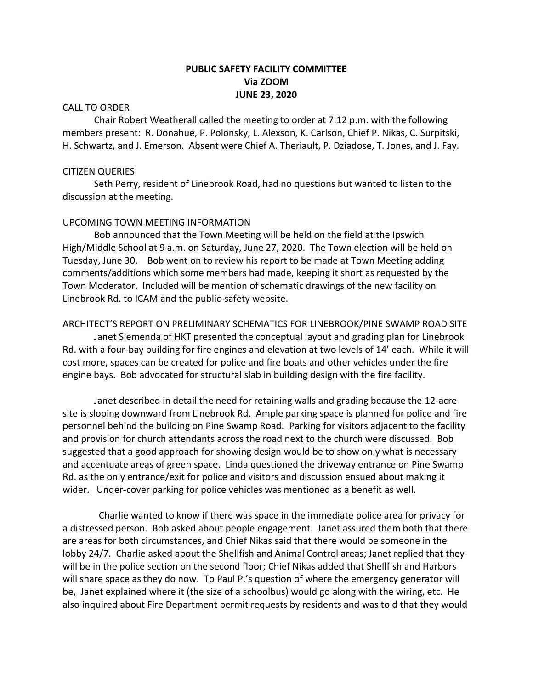# **PUBLIC SAFETY FACILITY COMMITTEE Via ZOOM JUNE 23, 2020**

### CALL TO ORDER

Chair Robert Weatherall called the meeting to order at 7:12 p.m. with the following members present: R. Donahue, P. Polonsky, L. Alexson, K. Carlson, Chief P. Nikas, C. Surpitski, H. Schwartz, and J. Emerson. Absent were Chief A. Theriault, P. Dziadose, T. Jones, and J. Fay.

### CITIZEN QUERIES

Seth Perry, resident of Linebrook Road, had no questions but wanted to listen to the discussion at the meeting.

# UPCOMING TOWN MEETING INFORMATION

Bob announced that the Town Meeting will be held on the field at the Ipswich High/Middle School at 9 a.m. on Saturday, June 27, 2020. The Town election will be held on Tuesday, June 30. Bob went on to review his report to be made at Town Meeting adding comments/additions which some members had made, keeping it short as requested by the Town Moderator. Included will be mention of schematic drawings of the new facility on Linebrook Rd. to ICAM and the public-safety website.

#### ARCHITECT'S REPORT ON PRELIMINARY SCHEMATICS FOR LINEBROOK/PINE SWAMP ROAD SITE

Janet Slemenda of HKT presented the conceptual layout and grading plan for Linebrook Rd. with a four-bay building for fire engines and elevation at two levels of 14' each. While it will cost more, spaces can be created for police and fire boats and other vehicles under the fire engine bays. Bob advocated for structural slab in building design with the fire facility.

Janet described in detail the need for retaining walls and grading because the 12-acre site is sloping downward from Linebrook Rd. Ample parking space is planned for police and fire personnel behind the building on Pine Swamp Road. Parking for visitors adjacent to the facility and provision for church attendants across the road next to the church were discussed. Bob suggested that a good approach for showing design would be to show only what is necessary and accentuate areas of green space. Linda questioned the driveway entrance on Pine Swamp Rd. as the only entrance/exit for police and visitors and discussion ensued about making it wider. Under-cover parking for police vehicles was mentioned as a benefit as well.

 Charlie wanted to know if there was space in the immediate police area for privacy for a distressed person. Bob asked about people engagement. Janet assured them both that there are areas for both circumstances, and Chief Nikas said that there would be someone in the lobby 24/7. Charlie asked about the Shellfish and Animal Control areas; Janet replied that they will be in the police section on the second floor; Chief Nikas added that Shellfish and Harbors will share space as they do now. To Paul P.'s question of where the emergency generator will be, Janet explained where it (the size of a schoolbus) would go along with the wiring, etc. He also inquired about Fire Department permit requests by residents and was told that they would